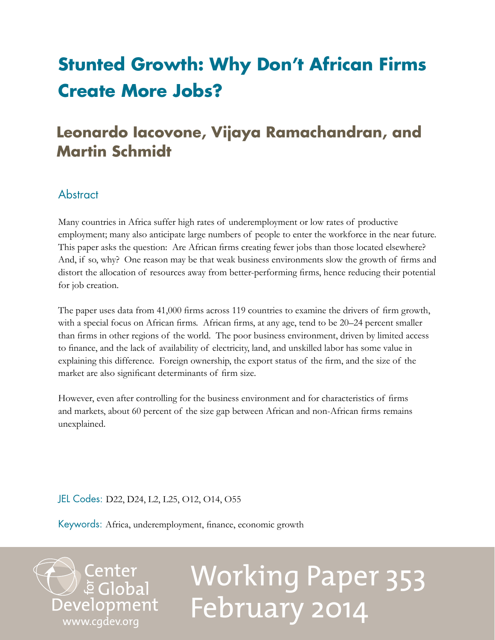# **Stunted Growth: Why Don't African Firms Create More Jobs?**

# **Leonardo Iacovone, Vijaya Ramachandran, and Martin Schmidt**

## Abstract

Many countries in Africa suffer high rates of underemployment or low rates of productive employment; many also anticipate large numbers of people to enter the workforce in the near future. This paper asks the question: Are African firms creating fewer jobs than those located elsewhere? And, if so, why? One reason may be that weak business environments slow the growth of firms and distort the allocation of resources away from better-performing firms, hence reducing their potential for job creation.

The paper uses data from 41,000 firms across 119 countries to examine the drivers of firm growth, with a special focus on African firms. African firms, at any age, tend to be 20–24 percent smaller than firms in other regions of the world. The poor business environment, driven by limited access to finance, and the lack of availability of electricity, land, and unskilled labor has some value in explaining this difference. Foreign ownership, the export status of the firm, and the size of the market are also significant determinants of firm size.

However, even after controlling for the business environment and for characteristics of firms and markets, about 60 percent of the size gap between African and non-African firms remains unexplained.

JEL Codes: D22, D24, L2, L25, O12, O14, O55

Keywords: Africa, underemployment, finance, economic growth

Center<br>Development<br>[www.cgdev.org](http://www.cgdev.org)

# Working Paper 353 February 2014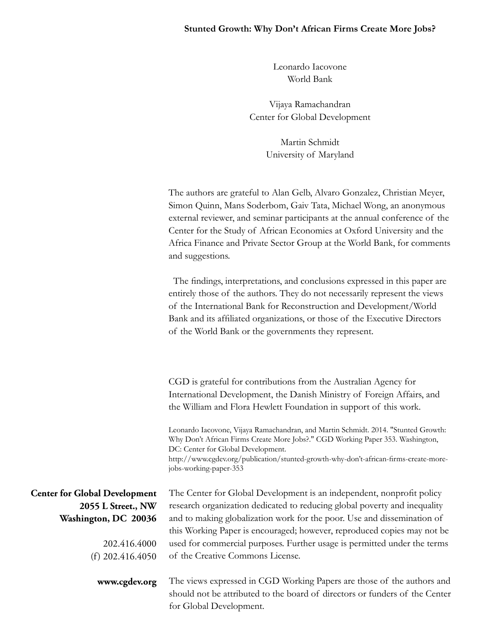#### **Stunted Growth: Why Don't African Firms Create More Jobs?**

Leonardo Iacovone World Bank

Vijaya Ramachandran Center for Global Development

> Martin Schmidt University of Maryland

The authors are grateful to Alan Gelb, Alvaro Gonzalez, Christian Meyer, Simon Quinn, Mans Soderbom, Gaiv Tata, Michael Wong, an anonymous external reviewer, and seminar participants at the annual conference of the Center for the Study of African Economies at Oxford University and the Africa Finance and Private Sector Group at the World Bank, for comments and suggestions.

 The findings, interpretations, and conclusions expressed in this paper are entirely those of the authors. They do not necessarily represent the views of the International Bank for Reconstruction and Development/World Bank and its affiliated organizations, or those of the Executive Directors of the World Bank or the governments they represent.

CGD is grateful for contributions from the Australian Agency for International Development, the Danish Ministry of Foreign Affairs, and the William and Flora Hewlett Foundation in support of this work.

Leonardo Iacovone, Vijaya Ramachandran, and Martin Schmidt. 2014. "Stunted Growth: Why Don't African Firms Create More Jobs?." CGD Working Paper 353. Washington, DC: Center for Global Development. http://www.cgdev.org/publication/stunted-growth-why-don't-african-firms-create-morejobs-working-paper-353

**Center for Global Development 2055 L Street., NW Washington, DC 20036**

> 202.416.4000 (f) 202.416.4050

> > **www.cgdev.org**

The Center for Global Development is an independent, nonprofit policy research organization dedicated to reducing global poverty and inequality and to making globalization work for the poor. Use and dissemination of this Working Paper is encouraged; however, reproduced copies may not be used for commercial purposes. Further usage is permitted under the terms of the Creative Commons License.

The views expressed in CGD Working Papers are those of the authors and should not be attributed to the board of directors or funders of the Center for Global Development.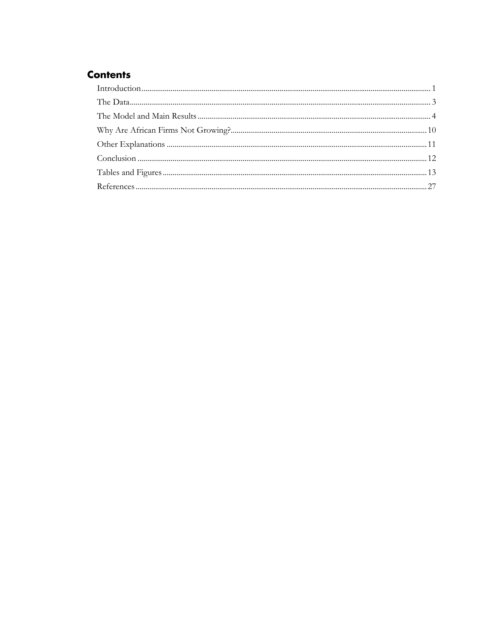### **Contents**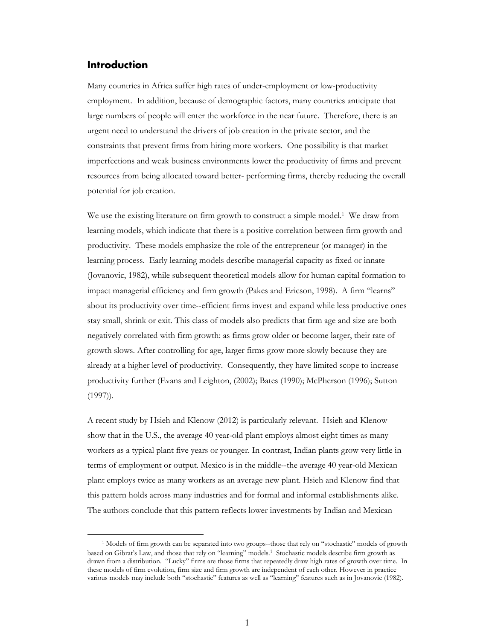#### **Introduction**

Many countries in Africa suffer high rates of under-employment or low-productivity employment. In addition, because of demographic factors, many countries anticipate that large numbers of people will enter the workforce in the near future. Therefore, there is an urgent need to understand the drivers of job creation in the private sector, and the constraints that prevent firms from hiring more workers. One possibility is that market imperfections and weak business environments lower the productivity of firms and prevent resources from being allocated toward better- performing firms, thereby reducing the overall potential for job creation.

We use the existing literature on firm growth to construct a simple model.<sup>1</sup> We draw from learning models, which indicate that there is a positive correlation between firm growth and productivity. These models emphasize the role of the entrepreneur (or manager) in the learning process. Early learning models describe managerial capacity as fixed or innate (Jovanovic, 1982), while subsequent theoretical models allow for human capital formation to impact managerial efficiency and firm growth (Pakes and Ericson, 1998). A firm "learns" about its productivity over time--efficient firms invest and expand while less productive ones stay small, shrink or exit. This class of models also predicts that firm age and size are both negatively correlated with firm growth: as firms grow older or become larger, their rate of growth slows. After controlling for age, larger firms grow more slowly because they are already at a higher level of productivity. Consequently, they have limited scope to increase productivity further (Evans and Leighton, (2002); Bates (1990); McPherson (1996); Sutton (1997)).

A recent study by Hsieh and Klenow (2012) is particularly relevant. Hsieh and Klenow show that in the U.S., the average 40 year-old plant employs almost eight times as many workers as a typical plant five years or younger. In contrast, Indian plants grow very little in terms of employment or output. Mexico is in the middle--the average 40 year-old Mexican plant employs twice as many workers as an average new plant. Hsieh and Klenow find that this pattern holds across many industries and for formal and informal establishments alike. The authors conclude that this pattern reflects lower investments by Indian and Mexican

<sup>&</sup>lt;sup>1</sup> Models of firm growth can be separated into two groups--those that rely on "stochastic" models of growth based on Gibrat's Law, and those that rely on "learning" models.1 Stochastic models describe firm growth as drawn from a distribution. "Lucky" firms are those firms that repeatedly draw high rates of growth over time. In these models of firm evolution, firm size and firm growth are independent of each other. However in practice various models may include both "stochastic" features as well as "learning" features such as in Jovanovic (1982).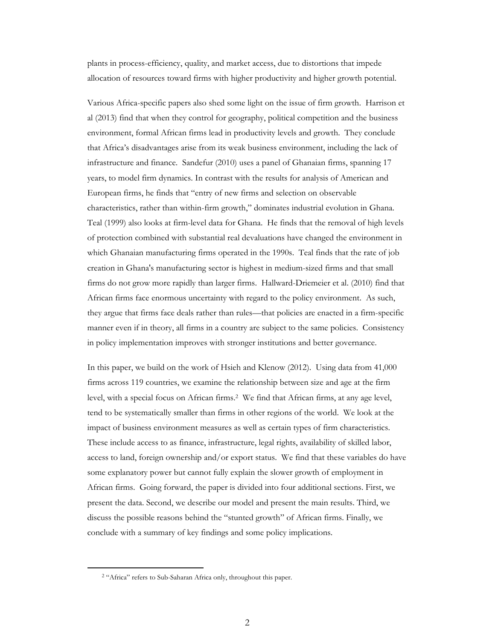plants in process-efficiency, quality, and market access, due to distortions that impede allocation of resources toward firms with higher productivity and higher growth potential.

Various Africa-specific papers also shed some light on the issue of firm growth. Harrison et al (2013) find that when they control for geography, political competition and the business environment, formal African firms lead in productivity levels and growth. They conclude that Africa's disadvantages arise from its weak business environment, including the lack of infrastructure and finance. Sandefur (2010) uses a panel of Ghanaian firms, spanning 17 years, to model firm dynamics. In contrast with the results for analysis of American and European firms, he finds that "entry of new firms and selection on observable characteristics, rather than within-firm growth," dominates industrial evolution in Ghana. Teal (1999) also looks at firm-level data for Ghana. He finds that the removal of high levels of protection combined with substantial real devaluations have changed the environment in which Ghanaian manufacturing firms operated in the 1990s. Teal finds that the rate of job creation in Ghana's manufacturing sector is highest in medium-sized firms and that small firms do not grow more rapidly than larger firms. Hallward-Driemeier et al. (2010) find that African firms face enormous uncertainty with regard to the policy environment. As such, they argue that firms face deals rather than rules—that policies are enacted in a firm-specific manner even if in theory, all firms in a country are subject to the same policies. Consistency in policy implementation improves with stronger institutions and better governance.

In this paper, we build on the work of Hsieh and Klenow (2012). Using data from 41,000 firms across 119 countries, we examine the relationship between size and age at the firm level, with a special focus on African firms.2 We find that African firms, at any age level, tend to be systematically smaller than firms in other regions of the world. We look at the impact of business environment measures as well as certain types of firm characteristics. These include access to as finance, infrastructure, legal rights, availability of skilled labor, access to land, foreign ownership and/or export status. We find that these variables do have some explanatory power but cannot fully explain the slower growth of employment in African firms. Going forward, the paper is divided into four additional sections. First, we present the data. Second, we describe our model and present the main results. Third, we discuss the possible reasons behind the "stunted growth" of African firms. Finally, we conclude with a summary of key findings and some policy implications.

<sup>&</sup>lt;sup>2</sup> "Africa" refers to Sub-Saharan Africa only, throughout this paper.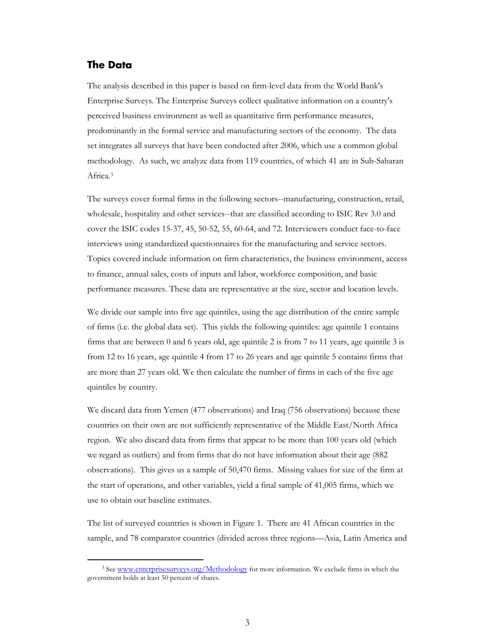#### **The Data**

The analysis described in this paper is based on firm-level data from the World Bank's Enterprise Surveys. The Enterprise Surveys collect qualitative information on a country's perceived business environment as well as quantitative firm performance measures, predominantly in the formal service and manufacturing sectors of the economy. The data set integrates all surveys that have been conducted after 2006, which use a common global methodology. As such, we analyze data from 119 countries, of which 41 are in Sub-Saharan Africa.3

The surveys cover formal firms in the following sectors--manufacturing, construction, retail, wholesale, hospitality and other services--that are classified according to ISIC Rev 3.0 and cover the ISIC codes 15-37, 45, 50-52, 55, 60-64, and 72. Interviewers conduct face-to-face interviews using standardized questionnaires for the manufacturing and service sectors. Topics covered include information on firm characteristics, the business environment, access to finance, annual sales, costs of inputs and labor, workforce composition, and basic performance measures. These data are representative at the size, sector and location levels.

We divide our sample into five age quintiles, using the age distribution of the entire sample of firms (i.e. the global data set). This yields the following quintiles: age quintile 1 contains firms that are between 0 and 6 years old, age quintile 2 is from 7 to 11 years, age quintile 3 is from 12 to 16 years, age quintile 4 from 17 to 26 years and age quintile 5 contains firms that are more than 27 years old. We then calculate the number of firms in each of the five age quintiles by country.

We discard data from Yemen (477 observations) and Iraq (756 observations) because these countries on their own are not sufficiently representative of the Middle East/North Africa region. We also discard data from firms that appear to be more than 100 years old (which we regard as outliers) and from firms that do not have information about their age (882 observations). This gives us a sample of 50,470 firms. Missing values for size of the firm at the start of operations, and other variables, yield a final sample of 41,005 firms, which we use to obtain our baseline estimates.

The list of surveyed countries is shown in Figure 1. There are 41 African countries in the sample, and 78 comparator countries (divided across three regions—Asia, Latin America and

<sup>&</sup>lt;sup>3</sup> See www.enterprisesurveys.org/Methodology for more information. We exclude firms in which the government holds at least 50 percent of shares.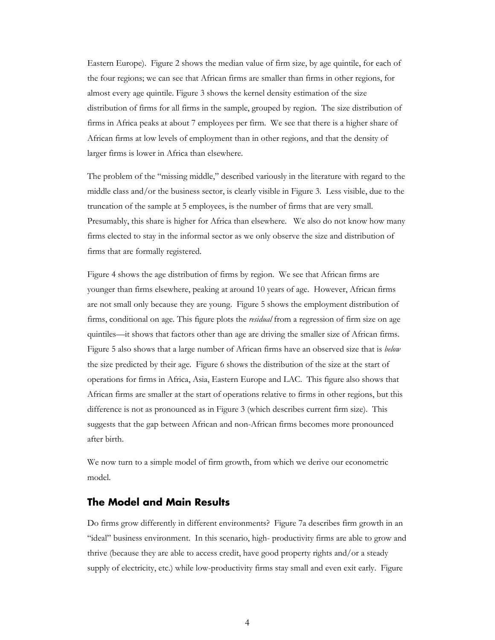Eastern Europe). Figure 2 shows the median value of firm size, by age quintile, for each of the four regions; we can see that African firms are smaller than firms in other regions, for almost every age quintile. Figure 3 shows the kernel density estimation of the size distribution of firms for all firms in the sample, grouped by region. The size distribution of firms in Africa peaks at about 7 employees per firm. We see that there is a higher share of African firms at low levels of employment than in other regions, and that the density of larger firms is lower in Africa than elsewhere.

The problem of the "missing middle," described variously in the literature with regard to the middle class and/or the business sector, is clearly visible in Figure 3. Less visible, due to the truncation of the sample at 5 employees, is the number of firms that are very small. Presumably, this share is higher for Africa than elsewhere. We also do not know how many firms elected to stay in the informal sector as we only observe the size and distribution of firms that are formally registered.

Figure 4 shows the age distribution of firms by region. We see that African firms are younger than firms elsewhere, peaking at around 10 years of age. However, African firms are not small only because they are young. Figure 5 shows the employment distribution of firms, conditional on age. This figure plots the *residual* from a regression of firm size on age quintiles—it shows that factors other than age are driving the smaller size of African firms. Figure 5 also shows that a large number of African firms have an observed size that is *below* the size predicted by their age. Figure 6 shows the distribution of the size at the start of operations for firms in Africa, Asia, Eastern Europe and LAC. This figure also shows that African firms are smaller at the start of operations relative to firms in other regions, but this difference is not as pronounced as in Figure 3 (which describes current firm size). This suggests that the gap between African and non-African firms becomes more pronounced after birth.

We now turn to a simple model of firm growth, from which we derive our econometric model.

#### **The Model and Main Results**

Do firms grow differently in different environments? Figure 7a describes firm growth in an "ideal" business environment. In this scenario, high- productivity firms are able to grow and thrive (because they are able to access credit, have good property rights and/or a steady supply of electricity, etc.) while low-productivity firms stay small and even exit early. Figure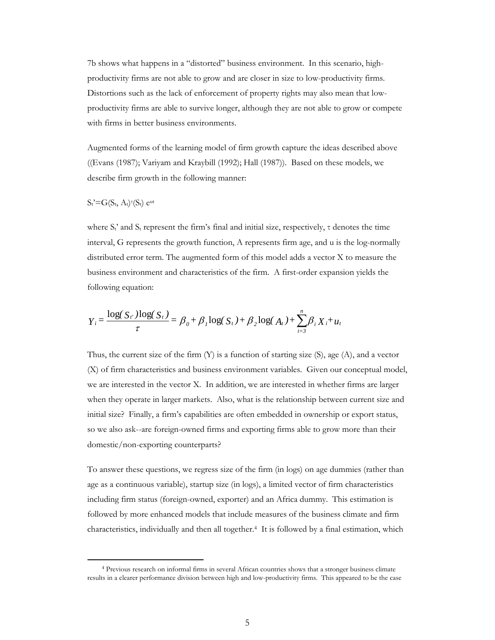7b shows what happens in a "distorted" business environment. In this scenario, highproductivity firms are not able to grow and are closer in size to low-productivity firms. Distortions such as the lack of enforcement of property rights may also mean that lowproductivity firms are able to survive longer, although they are not able to grow or compete with firms in better business environments.

Augmented forms of the learning model of firm growth capture the ideas described above ((Evans (1987); Variyam and Kraybill (1992); Hall (1987)). Based on these models, we describe firm growth in the following manner:

#### $S_t$ '= $G(S_t, A_t)$ <sup> $\tau(S_t)$ </sup> e<sup>ut</sup>

where  $S_t$ <sup>2</sup> and  $S_t$  represent the firm's final and initial size, respectively,  $\tau$  denotes the time interval, G represents the growth function, A represents firm age, and u is the log-normally distributed error term. The augmented form of this model adds a vector X to measure the business environment and characteristics of the firm. A first-order expansion yields the following equation:

$$
Y_{i} = \frac{\log(S_{i'}) \log(S_{i'})}{\tau} = \beta_{0} + \beta_{1} \log(S_{i}) + \beta_{2} \log(A_{i}) + \sum_{i=3}^{n} \beta_{i} X_{i} + u_{i}
$$

Thus, the current size of the firm  $(Y)$  is a function of starting size  $(S)$ , age  $(A)$ , and a vector (X) of firm characteristics and business environment variables. Given our conceptual model, we are interested in the vector X. In addition, we are interested in whether firms are larger when they operate in larger markets. Also, what is the relationship between current size and initial size? Finally, a firm's capabilities are often embedded in ownership or export status, so we also ask--are foreign-owned firms and exporting firms able to grow more than their domestic/non-exporting counterparts?

To answer these questions, we regress size of the firm (in logs) on age dummies (rather than age as a continuous variable), startup size (in logs), a limited vector of firm characteristics including firm status (foreign-owned, exporter) and an Africa dummy. This estimation is followed by more enhanced models that include measures of the business climate and firm characteristics, individually and then all together.4 It is followed by a final estimation, which

<sup>4</sup> Previous research on informal firms in several African countries shows that a stronger business climate results in a clearer performance division between high and low-productivity firms. This appeared to be the case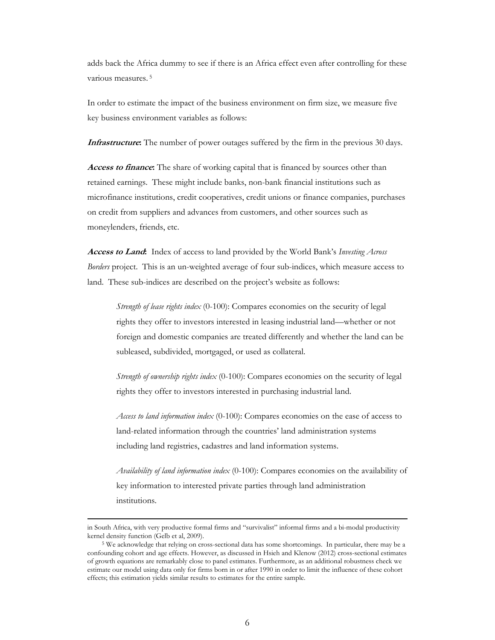adds back the Africa dummy to see if there is an Africa effect even after controlling for these various measures. 5

In order to estimate the impact of the business environment on firm size, we measure five key business environment variables as follows:

**Infrastructure.** The number of power outages suffered by the firm in the previous 30 days.

**Access to finance:** The share of working capital that is financed by sources other than retained earnings. These might include banks, non-bank financial institutions such as microfinance institutions, credit cooperatives, credit unions or finance companies, purchases on credit from suppliers and advances from customers, and other sources such as moneylenders, friends, etc.

**Access to Land:** Index of access to land provided by the World Bank's *Investing Across Borders* project. This is an un-weighted average of four sub-indices, which measure access to land. These sub-indices are described on the project's website as follows:

*Strength of lease rights index* (0-100): Compares economies on the security of legal rights they offer to investors interested in leasing industrial land—whether or not foreign and domestic companies are treated differently and whether the land can be subleased, subdivided, mortgaged, or used as collateral.

*Strength of ownership rights index* (0-100): Compares economies on the security of legal rights they offer to investors interested in purchasing industrial land.

*Access to land information index* (0-100): Compares economies on the ease of access to land-related information through the countries' land administration systems including land registries, cadastres and land information systems.

*Availability of land information index* (0-100): Compares economies on the availability of key information to interested private parties through land administration institutions.

<u> 1989 - Johann Stoff, amerikansk politiker (d. 1989)</u>

in South Africa, with very productive formal firms and "survivalist" informal firms and a bi-modal productivity kernel density function (Gelb et al, 2009).<br><sup>5</sup> We acknowledge that relying on cross-sectional data has some shortcomings. In particular, there may be a

confounding cohort and age effects. However, as discussed in Hsieh and Klenow (2012) cross-sectional estimates of growth equations are remarkably close to panel estimates. Furthermore, as an additional robustness check we estimate our model using data only for firms born in or after 1990 in order to limit the influence of these cohort effects; this estimation yields similar results to estimates for the entire sample.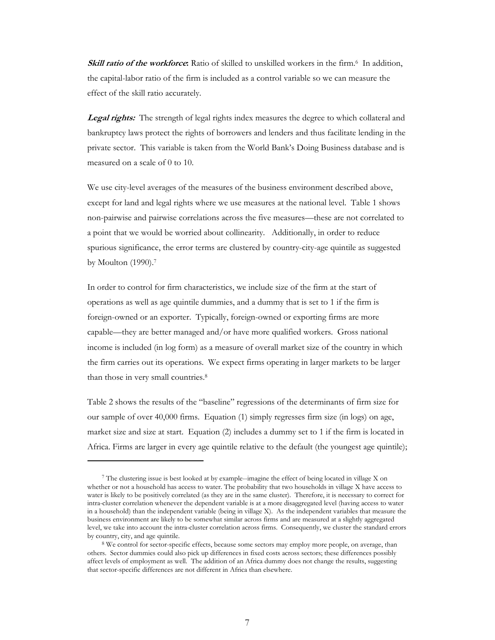**Skill ratio of the workforce:** Ratio of skilled to unskilled workers in the firm.<sup>6</sup> In addition, the capital-labor ratio of the firm is included as a control variable so we can measure the effect of the skill ratio accurately.

**Legal rights:** The strength of legal rights index measures the degree to which collateral and bankruptcy laws protect the rights of borrowers and lenders and thus facilitate lending in the private sector. This variable is taken from the World Bank's Doing Business database and is measured on a scale of 0 to 10.

We use city-level averages of the measures of the business environment described above, except for land and legal rights where we use measures at the national level. Table 1 shows non-pairwise and pairwise correlations across the five measures—these are not correlated to a point that we would be worried about collinearity. Additionally, in order to reduce spurious significance, the error terms are clustered by country-city-age quintile as suggested by Moulton (1990).7

In order to control for firm characteristics, we include size of the firm at the start of operations as well as age quintile dummies, and a dummy that is set to 1 if the firm is foreign-owned or an exporter. Typically, foreign-owned or exporting firms are more capable—they are better managed and/or have more qualified workers. Gross national income is included (in log form) as a measure of overall market size of the country in which the firm carries out its operations. We expect firms operating in larger markets to be larger than those in very small countries.<sup>8</sup>

Table 2 shows the results of the "baseline" regressions of the determinants of firm size for our sample of over 40,000 firms. Equation (1) simply regresses firm size (in logs) on age, market size and size at start. Equation (2) includes a dummy set to 1 if the firm is located in Africa. Firms are larger in every age quintile relative to the default (the youngest age quintile);

<sup>7</sup> The clustering issue is best looked at by example--imagine the effect of being located in village X on whether or not a household has access to water. The probability that two households in village X have access to water is likely to be positively correlated (as they are in the same cluster). Therefore, it is necessary to correct for intra-cluster correlation whenever the dependent variable is at a more disaggregated level (having access to water in a household) than the independent variable (being in village X). As the independent variables that measure the business environment are likely to be somewhat similar across firms and are measured at a slightly aggregated level, we take into account the intra-cluster correlation across firms. Consequently, we cluster the standard errors by country, city, and age quintile.<br><sup>8</sup> We control for sector-specific effects, because some sectors may employ more people, on average, than

others. Sector dummies could also pick up differences in fixed costs across sectors; these differences possibly affect levels of employment as well. The addition of an Africa dummy does not change the results, suggesting that sector-specific differences are not different in Africa than elsewhere.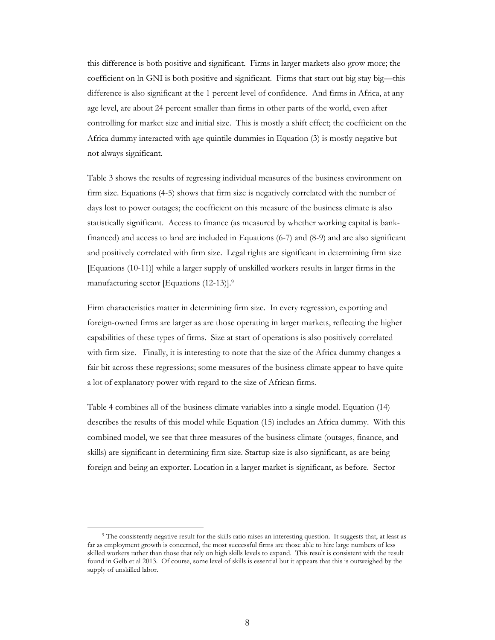this difference is both positive and significant. Firms in larger markets also grow more; the coefficient on ln GNI is both positive and significant. Firms that start out big stay big—this difference is also significant at the 1 percent level of confidence. And firms in Africa, at any age level, are about 24 percent smaller than firms in other parts of the world, even after controlling for market size and initial size. This is mostly a shift effect; the coefficient on the Africa dummy interacted with age quintile dummies in Equation (3) is mostly negative but not always significant.

Table 3 shows the results of regressing individual measures of the business environment on firm size. Equations (4-5) shows that firm size is negatively correlated with the number of days lost to power outages; the coefficient on this measure of the business climate is also statistically significant. Access to finance (as measured by whether working capital is bankfinanced) and access to land are included in Equations (6-7) and (8-9) and are also significant and positively correlated with firm size. Legal rights are significant in determining firm size [Equations (10-11)] while a larger supply of unskilled workers results in larger firms in the manufacturing sector [Equations (12-13)].9

Firm characteristics matter in determining firm size. In every regression, exporting and foreign-owned firms are larger as are those operating in larger markets, reflecting the higher capabilities of these types of firms. Size at start of operations is also positively correlated with firm size. Finally, it is interesting to note that the size of the Africa dummy changes a fair bit across these regressions; some measures of the business climate appear to have quite a lot of explanatory power with regard to the size of African firms.

Table 4 combines all of the business climate variables into a single model. Equation (14) describes the results of this model while Equation (15) includes an Africa dummy. With this combined model, we see that three measures of the business climate (outages, finance, and skills) are significant in determining firm size. Startup size is also significant, as are being foreign and being an exporter. Location in a larger market is significant, as before. Sector

<sup>&</sup>lt;sup>9</sup> The consistently negative result for the skills ratio raises an interesting question. It suggests that, at least as far as employment growth is concerned, the most successful firms are those able to hire large numbers of less skilled workers rather than those that rely on high skills levels to expand. This result is consistent with the result found in Gelb et al 2013. Of course, some level of skills is essential but it appears that this is outweighed by the supply of unskilled labor.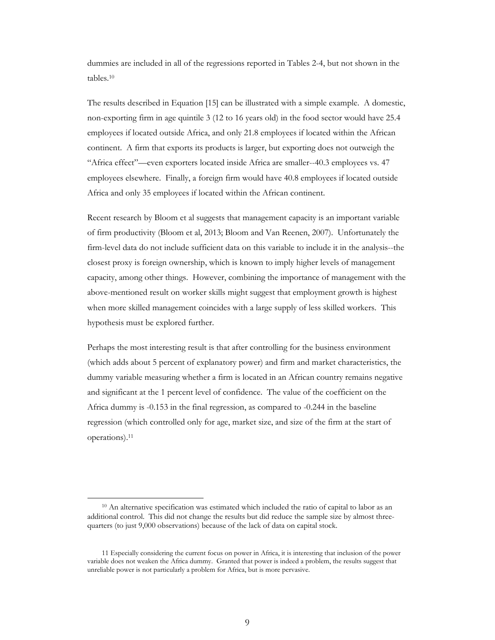dummies are included in all of the regressions reported in Tables 2-4, but not shown in the tables<sup>10</sup>

The results described in Equation [15] can be illustrated with a simple example. A domestic, non-exporting firm in age quintile 3 (12 to 16 years old) in the food sector would have 25.4 employees if located outside Africa, and only 21.8 employees if located within the African continent. A firm that exports its products is larger, but exporting does not outweigh the "Africa effect"—even exporters located inside Africa are smaller--40.3 employees vs. 47 employees elsewhere. Finally, a foreign firm would have 40.8 employees if located outside Africa and only 35 employees if located within the African continent.

Recent research by Bloom et al suggests that management capacity is an important variable of firm productivity (Bloom et al, 2013; Bloom and Van Reenen, 2007). Unfortunately the firm-level data do not include sufficient data on this variable to include it in the analysis--the closest proxy is foreign ownership, which is known to imply higher levels of management capacity, among other things. However, combining the importance of management with the above-mentioned result on worker skills might suggest that employment growth is highest when more skilled management coincides with a large supply of less skilled workers. This hypothesis must be explored further.

Perhaps the most interesting result is that after controlling for the business environment (which adds about 5 percent of explanatory power) and firm and market characteristics, the dummy variable measuring whether a firm is located in an African country remains negative and significant at the 1 percent level of confidence. The value of the coefficient on the Africa dummy is -0.153 in the final regression, as compared to -0.244 in the baseline regression (which controlled only for age, market size, and size of the firm at the start of operations).11

<sup>&</sup>lt;sup>10</sup> An alternative specification was estimated which included the ratio of capital to labor as an additional control. This did not change the results but did reduce the sample size by almost threequarters (to just 9,000 observations) because of the lack of data on capital stock.

<sup>11</sup> Especially considering the current focus on power in Africa, it is interesting that inclusion of the power variable does not weaken the Africa dummy. Granted that power is indeed a problem, the results suggest that unreliable power is not particularly a problem for Africa, but is more pervasive.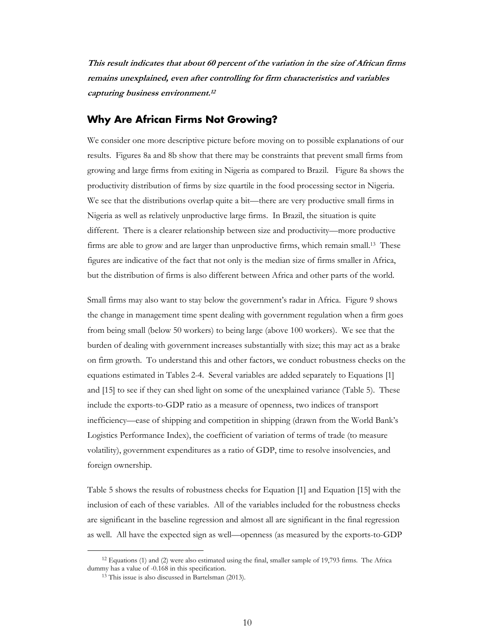**This result indicates that about 60 percent of the variation in the size of African firms remains unexplained, even after controlling for firm characteristics and variables capturing business environment.<sup>12</sup>**

#### **Why Are African Firms Not Growing?**

We consider one more descriptive picture before moving on to possible explanations of our results. Figures 8a and 8b show that there may be constraints that prevent small firms from growing and large firms from exiting in Nigeria as compared to Brazil. Figure 8a shows the productivity distribution of firms by size quartile in the food processing sector in Nigeria. We see that the distributions overlap quite a bit—there are very productive small firms in Nigeria as well as relatively unproductive large firms. In Brazil, the situation is quite different. There is a clearer relationship between size and productivity—more productive firms are able to grow and are larger than unproductive firms, which remain small.13 These figures are indicative of the fact that not only is the median size of firms smaller in Africa, but the distribution of firms is also different between Africa and other parts of the world.

Small firms may also want to stay below the government's radar in Africa. Figure 9 shows the change in management time spent dealing with government regulation when a firm goes from being small (below 50 workers) to being large (above 100 workers). We see that the burden of dealing with government increases substantially with size; this may act as a brake on firm growth. To understand this and other factors, we conduct robustness checks on the equations estimated in Tables 2-4. Several variables are added separately to Equations [1] and [15] to see if they can shed light on some of the unexplained variance (Table 5). These include the exports-to-GDP ratio as a measure of openness, two indices of transport inefficiency—ease of shipping and competition in shipping (drawn from the World Bank's Logistics Performance Index), the coefficient of variation of terms of trade (to measure volatility), government expenditures as a ratio of GDP, time to resolve insolvencies, and foreign ownership.

Table 5 shows the results of robustness checks for Equation [1] and Equation [15] with the inclusion of each of these variables. All of the variables included for the robustness checks are significant in the baseline regression and almost all are significant in the final regression as well. All have the expected sign as well—openness (as measured by the exports-to-GDP

<sup>12</sup> Equations (1) and (2) were also estimated using the final, smaller sample of 19,793 firms. The Africa dummy has a value of -0.168 in this specification.<br><sup>13</sup> This issue is also discussed in Bartelsman (2013).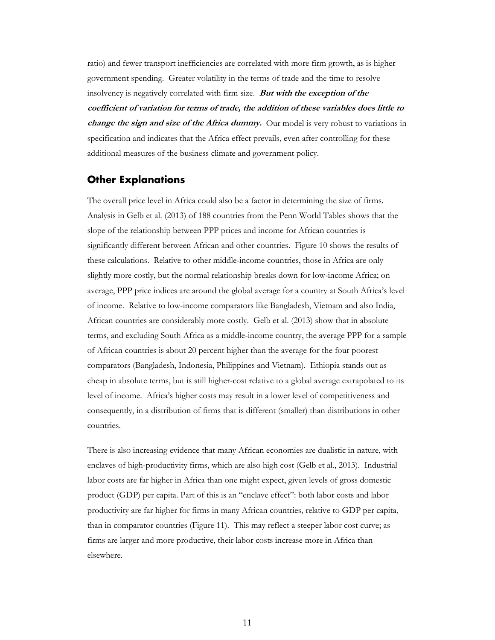ratio) and fewer transport inefficiencies are correlated with more firm growth, as is higher government spending. Greater volatility in the terms of trade and the time to resolve insolvency is negatively correlated with firm size. **But with the exception of the coefficient of variation for terms of trade, the addition of these variables does little to**  *change the sign and size of the Africa dummy.* Our model is very robust to variations in specification and indicates that the Africa effect prevails, even after controlling for these additional measures of the business climate and government policy.

#### **Other Explanations**

The overall price level in Africa could also be a factor in determining the size of firms. Analysis in Gelb et al. (2013) of 188 countries from the Penn World Tables shows that the slope of the relationship between PPP prices and income for African countries is significantly different between African and other countries. Figure 10 shows the results of these calculations. Relative to other middle-income countries, those in Africa are only slightly more costly, but the normal relationship breaks down for low-income Africa; on average, PPP price indices are around the global average for a country at South Africa's level of income. Relative to low-income comparators like Bangladesh, Vietnam and also India, African countries are considerably more costly. Gelb et al. (2013) show that in absolute terms, and excluding South Africa as a middle-income country, the average PPP for a sample of African countries is about 20 percent higher than the average for the four poorest comparators (Bangladesh, Indonesia, Philippines and Vietnam). Ethiopia stands out as cheap in absolute terms, but is still higher-cost relative to a global average extrapolated to its level of income. Africa's higher costs may result in a lower level of competitiveness and consequently, in a distribution of firms that is different (smaller) than distributions in other countries.

There is also increasing evidence that many African economies are dualistic in nature, with enclaves of high-productivity firms, which are also high cost (Gelb et al., 2013). Industrial labor costs are far higher in Africa than one might expect, given levels of gross domestic product (GDP) per capita. Part of this is an "enclave effect": both labor costs and labor productivity are far higher for firms in many African countries, relative to GDP per capita, than in comparator countries (Figure 11). This may reflect a steeper labor cost curve; as firms are larger and more productive, their labor costs increase more in Africa than elsewhere.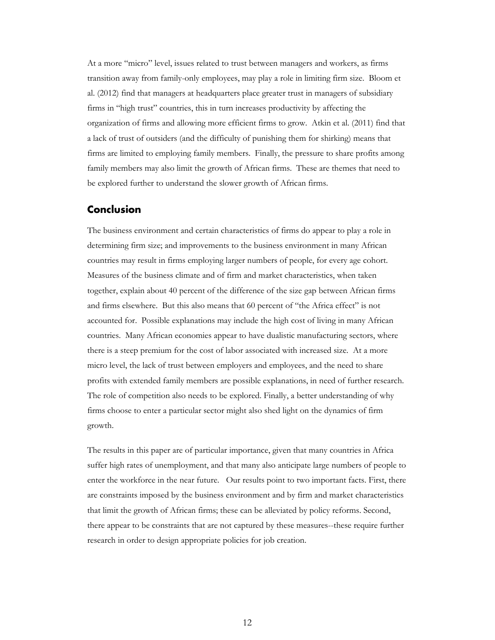At a more "micro" level, issues related to trust between managers and workers, as firms transition away from family-only employees, may play a role in limiting firm size. Bloom et al. (2012) find that managers at headquarters place greater trust in managers of subsidiary firms in "high trust" countries, this in turn increases productivity by affecting the organization of firms and allowing more efficient firms to grow. Atkin et al. (2011) find that a lack of trust of outsiders (and the difficulty of punishing them for shirking) means that firms are limited to employing family members. Finally, the pressure to share profits among family members may also limit the growth of African firms. These are themes that need to be explored further to understand the slower growth of African firms.

#### **Conclusion**

The business environment and certain characteristics of firms do appear to play a role in determining firm size; and improvements to the business environment in many African countries may result in firms employing larger numbers of people, for every age cohort. Measures of the business climate and of firm and market characteristics, when taken together, explain about 40 percent of the difference of the size gap between African firms and firms elsewhere. But this also means that 60 percent of "the Africa effect" is not accounted for. Possible explanations may include the high cost of living in many African countries. Many African economies appear to have dualistic manufacturing sectors, where there is a steep premium for the cost of labor associated with increased size. At a more micro level, the lack of trust between employers and employees, and the need to share profits with extended family members are possible explanations, in need of further research. The role of competition also needs to be explored. Finally, a better understanding of why firms choose to enter a particular sector might also shed light on the dynamics of firm growth.

The results in this paper are of particular importance, given that many countries in Africa suffer high rates of unemployment, and that many also anticipate large numbers of people to enter the workforce in the near future. Our results point to two important facts. First, there are constraints imposed by the business environment and by firm and market characteristics that limit the growth of African firms; these can be alleviated by policy reforms. Second, there appear to be constraints that are not captured by these measures--these require further research in order to design appropriate policies for job creation.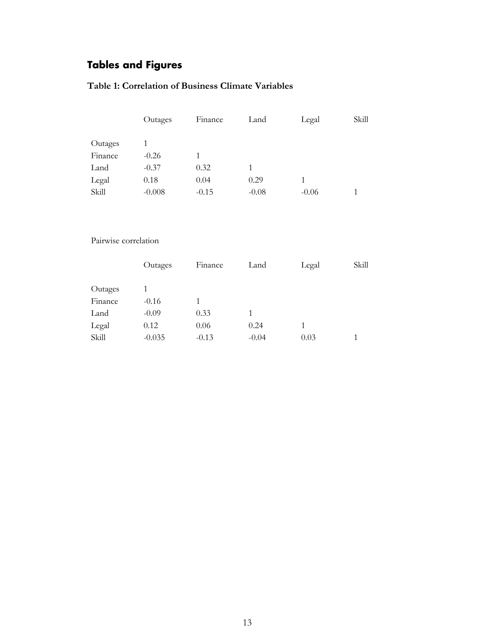# **Tables and Figures**

#### **Table 1: Correlation of Business Climate Variables**

|         | Outages  | Finance | Land    | Legal   | Skill |
|---------|----------|---------|---------|---------|-------|
|         |          |         |         |         |       |
| Outages |          |         |         |         |       |
| Finance | $-0.26$  |         |         |         |       |
| Land    | $-0.37$  | 0.32    |         |         |       |
| Legal   | 0.18     | 0.04    | 0.29    |         |       |
| Skill   | $-0.008$ | $-0.15$ | $-0.08$ | $-0.06$ |       |

#### Pairwise correlation

|         | Outages  | Finance | Land    | Legal | Skill |
|---------|----------|---------|---------|-------|-------|
|         |          |         |         |       |       |
| Outages |          |         |         |       |       |
| Finance | $-0.16$  |         |         |       |       |
| Land    | $-0.09$  | 0.33    |         |       |       |
| Legal   | 0.12     | 0.06    | 0.24    |       |       |
| Skill   | $-0.035$ | $-0.13$ | $-0.04$ | 0.03  |       |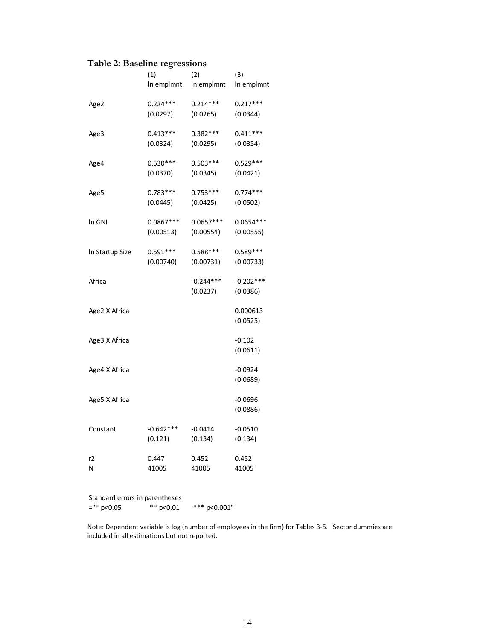#### **Table 2: Baseline regressions**

|                 | (1)         | (2)         | (3)         |
|-----------------|-------------|-------------|-------------|
|                 | In emplmnt  | In emplmnt  | In emplmnt  |
| Age2            | $0.224***$  | $0.214***$  | $0.217***$  |
|                 | (0.0297)    | (0.0265)    | (0.0344)    |
| Age3            | $0.413***$  | $0.382***$  | $0.411***$  |
|                 | (0.0324)    | (0.0295)    | (0.0354)    |
| Age4            | $0.530***$  | $0.503***$  | $0.529***$  |
|                 | (0.0370)    | (0.0345)    | (0.0421)    |
| Age5            | $0.783***$  | $0.753***$  | $0.774***$  |
|                 | (0.0445)    | (0.0425)    | (0.0502)    |
| In GNI          | $0.0867***$ | $0.0657***$ | $0.0654***$ |
|                 | (0.00513)   | (0.00554)   | (0.00555)   |
| In Startup Size | $0.591***$  | $0.588***$  | $0.589***$  |
|                 | (0.00740)   | (0.00731)   | (0.00733)   |
| Africa          |             | $-0.244***$ | $-0.202***$ |
|                 |             | (0.0237)    | (0.0386)    |
| Age2 X Africa   |             |             | 0.000613    |
|                 |             |             | (0.0525)    |
| Age3 X Africa   |             |             | $-0.102$    |
|                 |             |             | (0.0611)    |
| Age4 X Africa   |             |             | $-0.0924$   |
|                 |             |             | (0.0689)    |
| Age5 X Africa   |             |             | $-0.0696$   |
|                 |             |             | (0.0886)    |
| Constant        | $-0.642***$ | $-0.0414$   | $-0.0510$   |
|                 | (0.121)     | (0.134)     | (0.134)     |
| r2              | 0.447       | 0.452       | 0.452       |
| Ν               | 41005       | 41005       | 41005       |

Standard errors in parentheses<br>="\*  $p<0.05$  \*\*  $p<0.01$ \*\*\* p<0.001"

Note: Dependent variable is log (number of employees in the firm) for Tables 3‐5. Sector dummies are included in all estimations but not reported.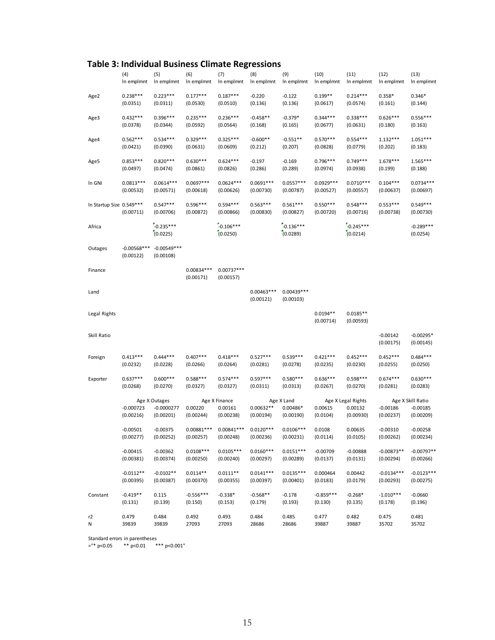| <b>Table 3: Individual Business Climate Regressions</b> |  |
|---------------------------------------------------------|--|
|---------------------------------------------------------|--|

|                           | (4)                        | (5)                        | (6)                       | (7)                       | (8)                       | (9)                       | (10)                    | (11)                    | (12)                    | (13)                     |
|---------------------------|----------------------------|----------------------------|---------------------------|---------------------------|---------------------------|---------------------------|-------------------------|-------------------------|-------------------------|--------------------------|
|                           | In emplmnt                 | In emplmnt                 | In emplmnt                | In emplmnt                | In emplmnt                | In emplmnt                | In emplmnt              | In emplmnt              | In emplmnt              | In emplmnt               |
| Age2                      | $0.238***$                 | $0.223***$                 | $0.177***$                | $0.187***$                | $-0.220$                  | $-0.122$                  | $0.199**$               | $0.214***$              | $0.358*$                | $0.346*$                 |
|                           | (0.0351)                   | (0.0311)                   | (0.0530)                  | (0.0510)                  | (0.136)                   | (0.136)                   | (0.0617)                | (0.0574)                | (0.161)                 | (0.144)                  |
| Age3                      | $0.432***$                 | $0.396***$                 | $0.235***$                | $0.236***$                | $-0.458**$                | $-0.379*$                 | $0.344***$              | $0.338***$              | $0.626***$              | $0.556***$               |
|                           | (0.0378)                   | (0.0344)                   | (0.0592)                  | (0.0564)                  | (0.168)                   | (0.165)                   | (0.0677)                | (0.0631)                | (0.180)                 | (0.163)                  |
| Age4                      | $0.562***$                 | $0.534***$                 | $0.329***$                | $0.325***$                | $-0.600**$                | $-0.551**$                | $0.570***$              | $0.554***$              | $1.132***$              | $1.051***$               |
|                           | (0.0421)                   | (0.0390)                   | (0.0631)                  | (0.0609)                  | (0.212)                   | (0.207)                   | (0.0828)                | (0.0779)                | (0.202)                 | (0.183)                  |
| Age5                      | $0.853***$                 | $0.820***$                 | $0.630***$                | $0.624***$                | $-0.197$                  | $-0.169$                  | $0.796***$              | $0.749***$              | $1.678***$              | $1.565***$               |
|                           | (0.0497)                   | (0.0474)                   | (0.0861)                  | (0.0826)                  | (0.286)                   | (0.289)                   | (0.0974)                | (0.0938)                | (0.199)                 | (0.188)                  |
| In GNI                    | $0.0813***$                | $0.0614***$                | $0.0697***$               | $0.0624***$               | $0.0691***$               | $0.0557***$               | 0.0929 ***              | $0.0710***$             | $0.104***$              | $0.0734***$              |
|                           | (0.00532)                  | (0.00571)                  | (0.00618)                 | (0.00626)                 | (0.00730)                 | (0.00787)                 | (0.00527)               | (0.00557)               | (0.00637)               | (0.00697)                |
| In Startup Size 0.549 *** | (0.00711)                  | $0.547***$<br>(0.00706)    | $0.596***$<br>(0.00872)   | $0.594***$<br>(0.00866)   | $0.563***$<br>(0.00830)   | $0.561***$<br>(0.00827)   | $0.550***$<br>(0.00720) | $0.548***$<br>(0.00716) | $0.553***$<br>(0.00738) | $0.549***$<br>(0.00730)  |
| Africa                    |                            | $-0.235***$<br>(0.0225)    |                           | $-0.106***$<br>(0.0250)   |                           | $-0.136***$<br>(0.0289)   |                         | $-0.245***$<br>(0.0214) |                         | $-0.289***$<br>(0.0254)  |
| Outages                   | $-0.00568***$<br>(0.00122) | $-0.00549***$<br>(0.00108) |                           |                           |                           |                           |                         |                         |                         |                          |
| Finance                   |                            |                            | $0.00834***$<br>(0.00171) | $0.00737***$<br>(0.00157) |                           |                           |                         |                         |                         |                          |
| Land                      |                            |                            |                           |                           | $0.00463***$<br>(0.00121) | $0.00439***$<br>(0.00103) |                         |                         |                         |                          |
| Legal Rights              |                            |                            |                           |                           |                           |                           | $0.0194**$<br>(0.00714) | $0.0185**$<br>(0.00593) |                         |                          |
| Skill Ratio               |                            |                            |                           |                           |                           |                           |                         |                         | $-0.00142$<br>(0.00175) | $-0.00295*$<br>(0.00145) |
| Foreign                   | $0.413***$                 | $0.444***$                 | $0.407***$                | $0.418***$                | $0.527***$                | $0.539***$                | $0.421***$              | $0.452***$              | $0.452***$              | $0.484***$               |
|                           | (0.0232)                   | (0.0228)                   | (0.0266)                  | (0.0264)                  | (0.0281)                  | (0.0278)                  | (0.0235)                | (0.0230)                | (0.0255)                | (0.0250)                 |
| Exporter                  | $0.637***$                 | $0.600***$                 | $0.588***$                | $0.574***$                | $0.597***$                | $0.580***$                | $0.636***$              | $0.598***$              | $0.674***$              | $0.630***$               |
|                           | (0.0268)                   | (0.0270)                   | (0.0327)                  | (0.0327)                  | (0.0311)                  | (0.0313)                  | (0.0267)                | (0.0270)                | (0.0281)                | (0.0283)                 |
|                           |                            | Age X Outages              |                           | Age X Finance             |                           | Age X Land                |                         | Age X Legal Rights      |                         | Age X Skill Ratio        |
|                           | $-0.000723$                | $-0.0000277$               | 0.00220                   | 0.00161                   | $0.00632**$               | $0.00486*$                | 0.00615                 | 0.00132                 | $-0.00186$              | $-0.00185$               |
|                           | (0.00216)                  | (0.00201)                  | (0.00244)                 | (0.00238)                 | (0.00194)                 | (0.00190)                 | (0.0104)                | (0.00930)               | (0.00237)               | (0.00209)                |
|                           | $-0.00501$                 | $-0.00375$                 | $0.00881***$              | $0.00841***$              | $0.0120***$               | $0.0106***$               | 0.0108                  | 0.00635                 | $-0.00310$              | $-0.00258$               |
|                           | (0.00277)                  | (0.00252)                  | (0.00257)                 | (0.00248)                 | (0.00236)                 | (0.00231)                 | (0.0114)                | (0.0105)                | (0.00262)               | (0.00234)                |
|                           | $-0.00415$                 | $-0.00362$                 | $0.0108***$               | $0.0105***$               | $0.0160***$               | $0.0151***$               | $-0.00709$              | $-0.00888$              | $-0.00873**$            | $-0.00797**$             |
|                           | (0.00381)                  | (0.00374)                  | (0.00250)                 | (0.00240)                 | (0.00297)                 | (0.00289)                 | (0.0137)                | (0.0131)                | (0.00294)               | (0.00266)                |
|                           | $-0.0112**$                | $-0.0102**$                | $0.0114**$                | $0.0111**$                | $0.0141***$               | $0.0135***$               | 0.000464                | 0.00442                 | $-0.0134***$            | $-0.0123***$             |
|                           | (0.00395)                  | (0.00387)                  | (0.00370)                 | (0.00355)                 | (0.00397)                 | (0.00401)                 | (0.0183)                | (0.0179)                | (0.00293)               | (0.00275)                |
| Constant                  | $-0.419**$                 | 0.115                      | $-0.556***$               | $-0.338*$                 | $-0.568**$                | $-0.178$                  | $-0.859***$             | $-0.268*$               | $-1.010***$             | $-0.0660$                |
|                           | (0.131)                    | (0.139)                    | (0.150)                   | (0.153)                   | (0.179)                   | (0.193)                   | (0.130)                 | (0.135)                 | (0.178)                 | (0.196)                  |
| r2                        | 0.479                      | 0.484                      | 0.492                     | 0.493                     | 0.484                     | 0.485                     | 0.477                   | 0.482                   | 0.475                   | 0.481                    |
| N                         | 39839                      | 39839                      | 27093                     | 27093                     | 28686                     | 28686                     | 39887                   | 39887                   | 35702                   | 35702                    |

Standard errors in parentheses

="\* p<0.05 \*\* p<0.01 \*\*\* p<0.001"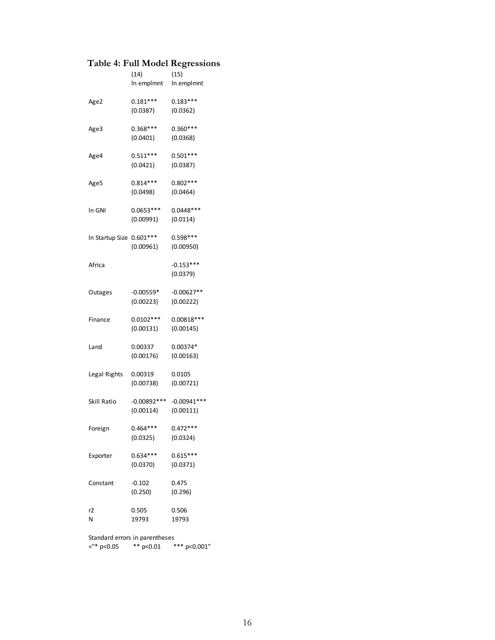#### **Table 4: Full Model Regressions**

|                 | (14)<br>In empImnt       | (15)<br>In empImnt         |
|-----------------|--------------------------|----------------------------|
| Age2            | $0.181***$<br>(0.0387)   | $0.183***$<br>(0.0362)     |
| Age3            | $0.368***$<br>(0.0401)   | $0.360***$<br>(0.0368)     |
| Age4            | $0.511***$<br>(0.0421)   | $0.501***$<br>(0.0387)     |
| Age5            | $0.814***$<br>(0.0498)   | $0.802***$<br>(0.0464)     |
| ln GNI          | $0.0653***$<br>(0.00991) | $0.0448***$<br>(0.0114)    |
| In Startup Size | $0.601***$<br>(0.00961)  | $0.598***$<br>(0.00950)    |
| Africa          |                          | $-0.153***$<br>(0.0379)    |
| Outages         | -0.00559*<br>(0.00223)   | $-0.00627**$<br>(0.00222)  |
| Finance         | $0.0102***$<br>(0.00131) | $0.00818***$<br>(0.00145)  |
| Land            | 0.00337<br>(0.00176)     | 0.00374*<br>(0.00163)      |
| Legal Rights    | 0.00319<br>(0.00738)     | 0.0105<br>(0.00721)        |
| Skill Ratio     | -0.00892***<br>(0.00114) | $-0.00941***$<br>(0.00111) |
| Foreign         | $0.464***$<br>(0.0325)   | $0.472***$<br>(0.0324)     |
| Exporter        | $0.634***$<br>(0.0370)   | $0.615***$<br>(0.0371)     |
| Constant        | $-0.102$<br>(0.250)      | 0.475<br>(0.296)           |
| r2<br>N         | 0.505<br>19793           | 0.506<br>19793             |
|                 |                          |                            |

Standard errors in parentheses ="\* p<0.05 \*\* p<0.01 \*\*\* p<0.001"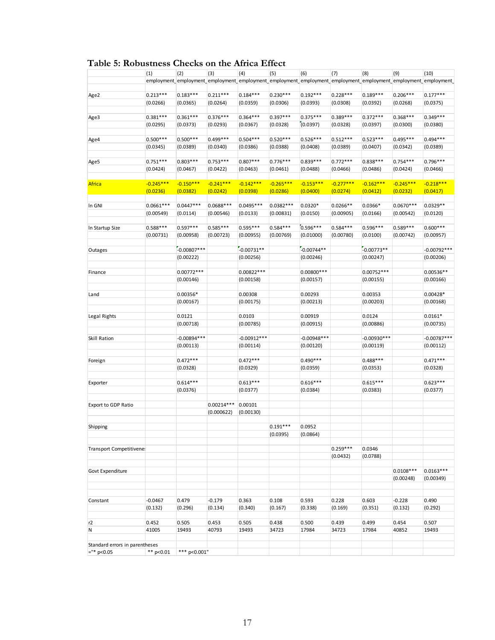| Table 5: Robustness Checks on the Africa Effect |  |  |
|-------------------------------------------------|--|--|
|-------------------------------------------------|--|--|

|                                | (1)                      | (2)                        | (3)<br>employment_employment_employment_employment_employment_employment_employment_employment_employment_employment | (4)                        | (5)                      | (6)                         | (7)                     | (8)                        | (9)                      | (10)                       |
|--------------------------------|--------------------------|----------------------------|----------------------------------------------------------------------------------------------------------------------|----------------------------|--------------------------|-----------------------------|-------------------------|----------------------------|--------------------------|----------------------------|
| Age2                           | $0.213***$               | $0.183***$                 | $0.211***$                                                                                                           | $0.184***$                 | $0.230***$               | $0.192***$                  | $0.228***$              | $0.189***$                 | $0.206***$               | $0.177***$                 |
|                                | (0.0266)                 | (0.0365)                   | (0.0264)                                                                                                             | (0.0359)                   | (0.0306)                 | (0.0393)                    | (0.0308)                | (0.0392)                   | (0.0268)                 | (0.0375)                   |
|                                | $0.381***$               |                            |                                                                                                                      |                            |                          |                             |                         |                            |                          |                            |
| Age3                           | (0.0295)                 | $0.361***$<br>(0.0373)     | $0.376***$<br>(0.0293)                                                                                               | $0.364***$<br>(0.0367)     | $0.397***$<br>(0.0328)   | $0.375***$<br>(0.0397)      | $0.389***$<br>(0.0328)  | $0.372***$<br>(0.0397)     | $0.368***$<br>(0.0300)   | $0.349***$<br>(0.0380)     |
| Age4                           | $0.500***$               | $0.500***$                 | $0.499***$                                                                                                           | $0.504***$                 | $0.520***$               | $0.526***$                  | $0.512***$              | $0.523***$                 | $0.495***$               | $0.494***$                 |
|                                | (0.0345)                 | (0.0389)                   | (0.0340)                                                                                                             | (0.0386)                   | (0.0388)                 | (0.0408)                    | (0.0389)                | (0.0407)                   | (0.0342)                 | (0.0389)                   |
| Age5                           | $0.751***$               | $0.803***$                 | $0.753***$                                                                                                           | $0.807***$                 | $0.776***$               | $0.839***$                  | $0.772***$              | $0.838***$                 | $0.754***$               | $0.796***$                 |
|                                | (0.0424)                 | (0.0467)                   | (0.0422)                                                                                                             | (0.0463)                   | (0.0461)                 | (0.0488)                    | (0.0466)                | (0.0486)                   | (0.0424)                 | (0.0466)                   |
| <b>Africa</b>                  | $-0.245***$              | $-0.150***$                | $-0.241***$                                                                                                          | $-0.142***$                | $-0.265***$              | $-0.153***$                 | $-0.277***$             | $-0.162***$                | $-0.245***$              | $-0.218***$                |
|                                | (0.0236)                 | (0.0382)                   | (0.0242)                                                                                                             | (0.0398)                   | (0.0286)                 | (0.0400)                    | (0.0274)                | (0.0412)                   | (0.0232)                 | (0.0417)                   |
|                                |                          |                            |                                                                                                                      |                            |                          |                             |                         |                            |                          |                            |
| In GNI                         | $0.0661***$<br>(0.00549) | $0.0447***$<br>(0.0114)    | 0.0688***<br>(0.00546)                                                                                               | $0.0495***$<br>(0.0133)    | $0.0382***$<br>(0.00831) | $0.0320*$<br>(0.0150)       | $0.0266**$<br>(0.00905) | $0.0366*$<br>(0.0166)      | $0.0670***$<br>(0.00542) | $0.0329**$<br>(0.0120)     |
|                                |                          |                            |                                                                                                                      |                            |                          |                             |                         |                            |                          |                            |
| In Startup Size                | $0.588***$               | $0.597***$                 | $0.585***$                                                                                                           | $0.595***$                 | $0.584***$               | 0.596 ***                   | $0.584***$              | $0.596***$                 | $0.589***$               | $0.600***$                 |
|                                | (0.00731)                | (0.00958)                  | (0.00723)                                                                                                            | (0.00955)                  | (0.00769)                | (0.01000)                   | (0.00780)               | (0.0100)                   | (0.00742)                | (0.00957)                  |
| Outages                        |                          | $-0.00807***$              |                                                                                                                      | $-0.00731**$               |                          | $-0.00744**$                |                         | $-0.00773**$               |                          | $-0.00792***$              |
|                                |                          | (0.00222)                  |                                                                                                                      | (0.00256)                  |                          | (0.00246)                   |                         | (0.00247)                  |                          | (0.00206)                  |
|                                |                          | $0.00772***$               |                                                                                                                      |                            |                          |                             |                         |                            |                          |                            |
| Finance                        |                          | (0.00146)                  |                                                                                                                      | $0.00822***$<br>(0.00158)  |                          | $0.00800***$<br>(0.00157)   |                         | $0.00752***$<br>(0.00155)  |                          | 0.00536**<br>(0.00166)     |
|                                |                          |                            |                                                                                                                      |                            |                          |                             |                         |                            |                          |                            |
| Land                           |                          | 0.00356*                   |                                                                                                                      | 0.00308                    |                          | 0.00293                     |                         | 0.00353                    |                          | $0.00428*$                 |
|                                |                          | (0.00167)                  |                                                                                                                      | (0.00175)                  |                          | (0.00213)                   |                         | (0.00203)                  |                          | (0.00168)                  |
| Legal Rights                   |                          | 0.0121                     |                                                                                                                      | 0.0103                     |                          | 0.00919                     |                         | 0.0124                     |                          | $0.0161*$                  |
|                                |                          | (0.00718)                  |                                                                                                                      | (0.00785)                  |                          | (0.00915)                   |                         | (0.00886)                  |                          | (0.00735)                  |
|                                |                          |                            |                                                                                                                      |                            |                          |                             |                         |                            |                          |                            |
| Skill Ration                   |                          | $-0.00894***$<br>(0.00113) |                                                                                                                      | $-0.00912***$<br>(0.00114) |                          | $-0.00948$ ***<br>(0.00120) |                         | $-0.00930***$<br>(0.00119) |                          | $-0.00787***$<br>(0.00112) |
|                                |                          |                            |                                                                                                                      |                            |                          |                             |                         |                            |                          |                            |
| Foreign                        |                          | $0.472***$                 |                                                                                                                      | $0.472***$                 |                          | $0.490***$                  |                         | $0.488***$                 |                          | $0.471***$                 |
|                                |                          | (0.0328)                   |                                                                                                                      | (0.0329)                   |                          | (0.0359)                    |                         | (0.0353)                   |                          | (0.0328)                   |
| Exporter                       |                          | $0.614***$                 |                                                                                                                      | $0.613***$                 |                          | $0.616***$                  |                         | $0.615***$                 |                          | $0.623***$                 |
|                                |                          | (0.0376)                   |                                                                                                                      | (0.0377)                   |                          | (0.0384)                    |                         | (0.0383)                   |                          | (0.0377)                   |
|                                |                          |                            | $0.00214***$                                                                                                         | 0.00101                    |                          |                             |                         |                            |                          |                            |
| <b>Export to GDP Ratio</b>     |                          |                            | (0.000622)                                                                                                           | (0.00130)                  |                          |                             |                         |                            |                          |                            |
|                                |                          |                            |                                                                                                                      |                            |                          |                             |                         |                            |                          |                            |
| Shipping                       |                          |                            |                                                                                                                      |                            | $0.191***$               | 0.0952                      |                         |                            |                          |                            |
|                                |                          |                            |                                                                                                                      |                            | (0.0395)                 | (0.0864)                    |                         |                            |                          |                            |
| Transport Competitivene:       |                          |                            |                                                                                                                      |                            |                          |                             | $0.259***$              | 0.0346                     |                          |                            |
|                                |                          |                            |                                                                                                                      |                            |                          |                             | (0.0432)                | (0.0788)                   |                          |                            |
| Govt Expenditure               |                          |                            |                                                                                                                      |                            |                          |                             |                         |                            | $0.0108***$              | $0.0163***$                |
|                                |                          |                            |                                                                                                                      |                            |                          |                             |                         |                            | (0.00248)                | (0.00349)                  |
|                                |                          |                            |                                                                                                                      |                            |                          |                             |                         |                            |                          |                            |
| Constant                       | $-0.0467$                | 0.479                      | $-0.179$                                                                                                             | 0.363                      | 0.108                    | 0.593                       | 0.228                   | 0.603                      | $-0.228$                 | 0.490                      |
|                                | (0.132)                  | (0.296)                    | (0.134)                                                                                                              | (0.340)                    | (0.167)                  | (0.338)                     | (0.169)                 | (0.351)                    | (0.132)                  | (0.292)                    |
|                                |                          |                            |                                                                                                                      |                            |                          |                             |                         |                            |                          |                            |
| r2                             | 0.452                    | 0.505                      | 0.453                                                                                                                | 0.505                      | 0.438                    | 0.500                       | 0.439                   | 0.499                      | 0.454                    | 0.507                      |
| Ν                              | 41005                    | 19493                      | 40793                                                                                                                | 19493                      | 34723                    | 17984                       | 34723                   | 17984                      | 40852                    | 19493                      |
| Standard errors in parentheses |                          |                            |                                                                                                                      |                            |                          |                             |                         |                            |                          |                            |
| $=$ "* p<0.05                  | ** $p<0.01$              | *** p<0.001"               |                                                                                                                      |                            |                          |                             |                         |                            |                          |                            |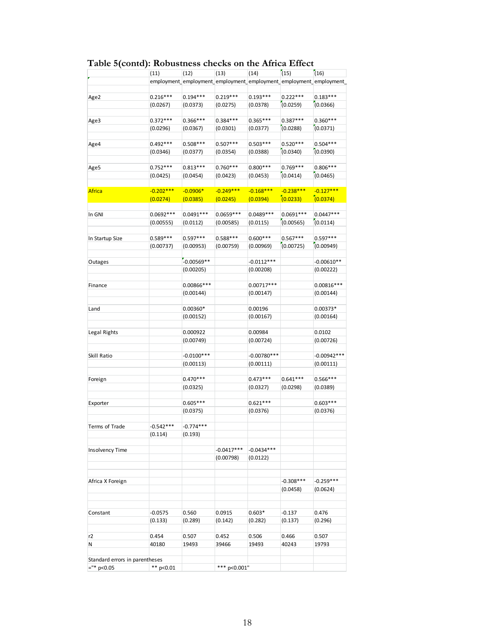|                                | (11)                   | (12)                    | (13)                     | (14)                    | (15)                     | (16)                                                               |
|--------------------------------|------------------------|-------------------------|--------------------------|-------------------------|--------------------------|--------------------------------------------------------------------|
|                                |                        |                         |                          |                         |                          | employment_employment_employment_employment_employment_employment_ |
| Age2                           | $0.216***$             | $0.194***$              | $0.219***$               | $0.193***$              | $0.222***$               | $0.183***$                                                         |
|                                | (0.0267)               | (0.0373)                | (0.0275)                 | (0.0378)                | (0.0259)                 | (0.0366)                                                           |
| Age3                           | $0.372***$             | $0.366***$              | $0.384***$               | $0.365***$              | $0.387***$               | $0.360***$                                                         |
|                                | (0.0296)               | (0.0367)                | (0.0301)                 | (0.0377)                | (0.0288)                 | (0.0371)                                                           |
| Age4                           | $0.492***$             | $0.508***$              | $0.507***$               | $0.503***$              | $0.520***$               | $0.504***$                                                         |
|                                | (0.0346)               | (0.0377)                | (0.0354)                 | (0.0388)                | (0.0340)                 | (0.0390)                                                           |
| Age5                           | $0.752***$             | $0.813***$              | $0.760***$               | $0.800***$              | $0.769***$               | $0.806***$                                                         |
|                                | (0.0425)               | (0.0454)                | (0.0423)                 | (0.0453)                | (0.0414)                 | (0.0465)                                                           |
| <b>Africa</b>                  | $-0.202***$            | $-0.0906*$              | $-0.249***$              | $-0.168***$             | $-0.238***$              | $-0.127***$                                                        |
|                                | (0.0274)               | (0.0385)                | (0.0245)                 | (0.0394)                | (0.0233)                 | (0.0374)                                                           |
|                                |                        |                         |                          |                         |                          |                                                                    |
| In GNI                         | 0.0692***<br>(0.00555) | $0.0491***$<br>(0.0112) | $0.0659***$<br>(0.00585) | $0.0489***$<br>(0.0115) | $0.0691***$<br>(0.00565) | $0.0447***$<br>(0.0114)                                            |
|                                |                        |                         |                          |                         |                          |                                                                    |
| In Startup Size                | $0.589***$             | $0.597***$              | $0.588***$               | $0.600***$              | $0.567***$               | $0.597***$                                                         |
|                                | (0.00737)              | (0.00953)               | (0.00759)                | (0.00969)               | (0.00725)                | (0.00949)                                                          |
| Outages                        |                        | $-0.00569**$            |                          | $-0.0112***$            |                          | $-0.00610**$                                                       |
|                                |                        | (0.00205)               |                          | (0.00208)               |                          | (0.00222)                                                          |
| Finance                        |                        | 0.00866***              |                          | $0.00717***$            |                          | $0.00816***$                                                       |
|                                |                        | (0.00144)               |                          | (0.00147)               |                          | (0.00144)                                                          |
| Land                           |                        | 0.00360*                |                          | 0.00196                 |                          | $0.00373*$                                                         |
|                                |                        | (0.00152)               |                          | (0.00167)               |                          | (0.00164)                                                          |
| Legal Rights                   |                        | 0.000922                |                          | 0.00984                 |                          | 0.0102                                                             |
|                                |                        | (0.00749)               |                          | (0.00724)               |                          | (0.00726)                                                          |
| Skill Ratio                    |                        | $-0.0100***$            |                          | $-0.00780***$           |                          | $-0.00942***$                                                      |
|                                |                        | (0.00113)               |                          | (0.00111)               |                          | (0.00111)                                                          |
|                                |                        |                         |                          |                         |                          |                                                                    |
| Foreign                        |                        | $0.470***$<br>(0.0325)  |                          | $0.473***$<br>(0.0327)  | $0.641***$<br>(0.0298)   | $0.566***$<br>(0.0389)                                             |
|                                |                        |                         |                          |                         |                          |                                                                    |
| Exporter                       |                        | $0.605***$<br>(0.0375)  |                          | $0.621***$<br>(0.0376)  |                          | $0.603***$<br>(0.0376)                                             |
|                                |                        |                         |                          |                         |                          |                                                                    |
| Terms of Trade                 | $-0.542***$<br>(0.114) | $-0.774***$             |                          |                         |                          |                                                                    |
|                                |                        | (0.193)                 |                          |                         |                          |                                                                    |
| <b>Insolvency Time</b>         |                        |                         | $-0.0417***$             | $-0.0434***$            |                          |                                                                    |
|                                |                        |                         | (0.00798)                | (0.0122)                |                          |                                                                    |
| Africa X Foreign               |                        |                         |                          |                         | $-0.308***$              | $-0.259***$                                                        |
|                                |                        |                         |                          |                         | (0.0458)                 | (0.0624)                                                           |
|                                |                        |                         |                          |                         |                          |                                                                    |
| Constant                       | $-0.0575$              | 0.560                   | 0.0915                   | $0.603*$                | $-0.137$                 | 0.476                                                              |
|                                | (0.133)                | (0.289)                 | (0.142)                  | (0.282)                 | (0.137)                  | (0.296)                                                            |
| r2                             | 0.454                  | 0.507                   | 0.452                    | 0.506                   | 0.466                    | 0.507                                                              |
| Ν                              | 40180                  | 19493                   | 39466                    | 19493                   | 40243                    | 19793                                                              |
| Standard errors in parentheses |                        |                         |                          |                         |                          |                                                                    |
| $=$ "* p<0.05                  | ** $p<0.01$            |                         | *** p<0.001"             |                         |                          |                                                                    |

#### **Table 5(contd): Robustness checks on the Africa Effect**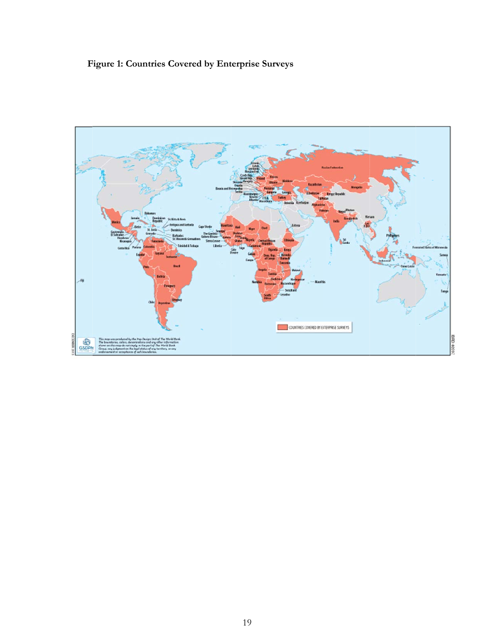# Figure 1: Countries Covered by Enterprise Surveys

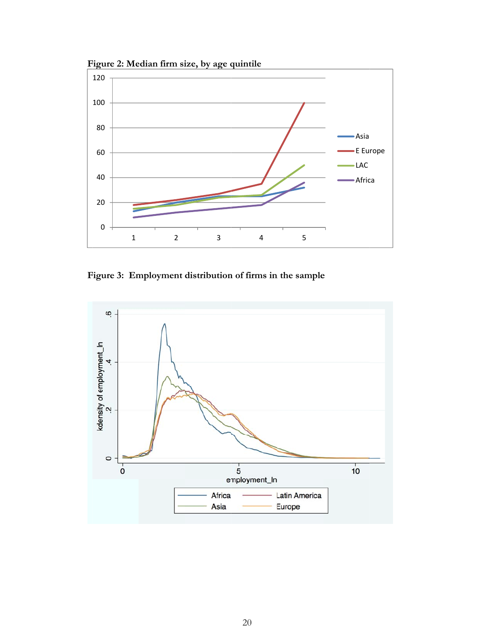Figure 2: Median firm size, by age quintile



Figure 3: Employment distribution of firms in the sample

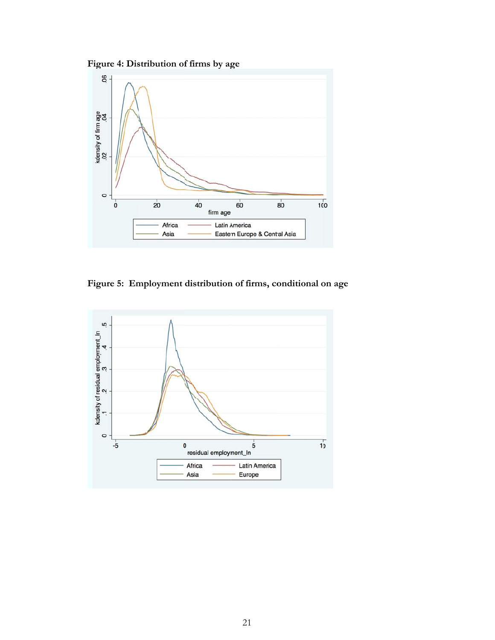Figure 4: Distribution of firms by age



Figure 5: Employment distribution of firms, conditional on age

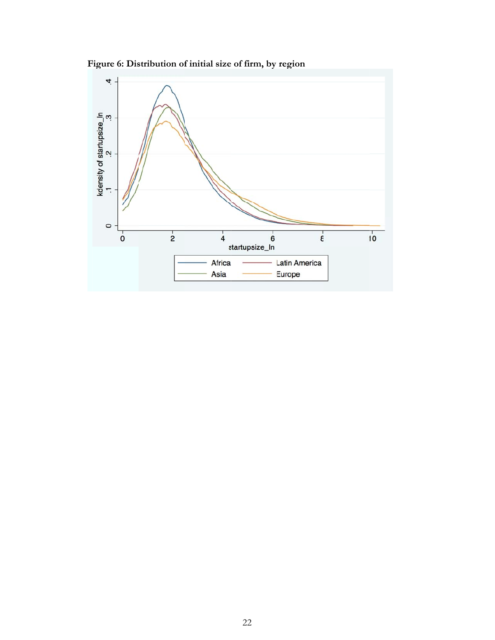**Figure 6: Distribution of initial size of firm, by region** 

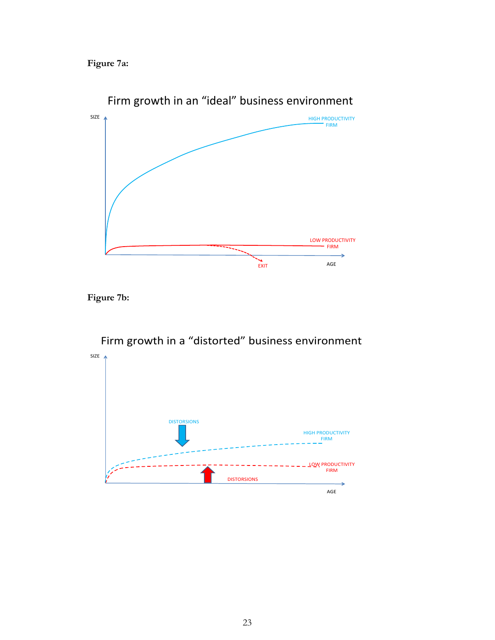**Figure 7a:** 



**Figure 7b:** 



Firm growth in a "distorted" business environment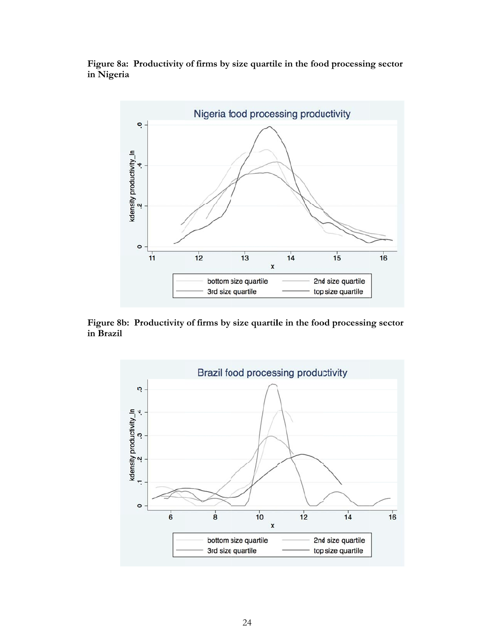Figure 8a: Productivity of firms by size quartile in the food processing sector **in n Nigeria** 



Figure 8b: Productivity of firms by size quartile in the food processing sector **in n Brazil** 

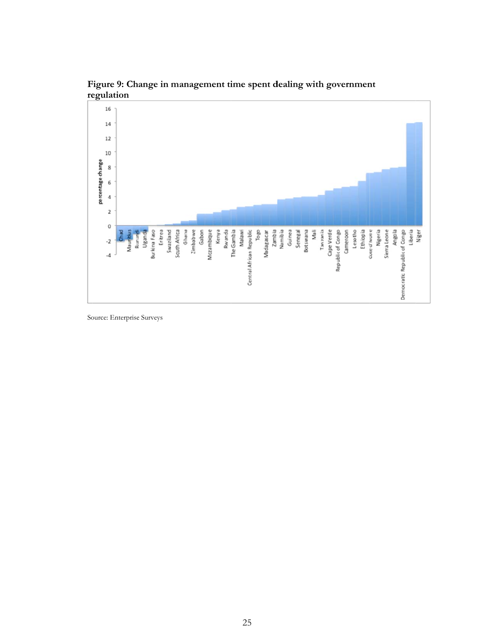

Figure 9: Change in management time spent dealing with government regulation

Source: Enterprise Surveys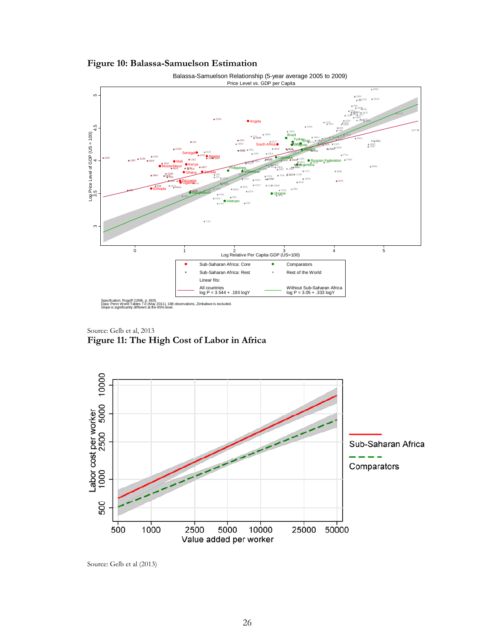



Source: Gelb et al, 2013 **Figure 11: The High Cost of Labor in Africa** 



Source: Gelb et al (2013)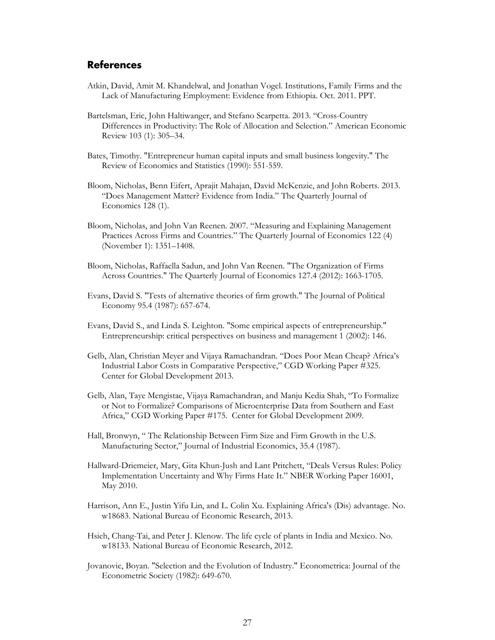#### **References**

- Atkin, David, Amit M. Khandelwal, and Jonathan Vogel. Institutions, Family Firms and the Lack of Manufacturing Employment: Evidence from Ethiopia. Oct. 2011. PPT.
- Bartelsman, Eric, John Haltiwanger, and Stefano Scarpetta. 2013. "Cross-Country Differences in Productivity: The Role of Allocation and Selection." American Economic Review 103 (1): 305–34.
- Bates, Timothy. "Entrepreneur human capital inputs and small business longevity." The Review of Economics and Statistics (1990): 551-559.
- Bloom, Nicholas, Benn Eifert, Aprajit Mahajan, David McKenzie, and John Roberts. 2013. "Does Management Matter? Evidence from India." The Quarterly Journal of Economics 128 (1).
- Bloom, Nicholas, and John Van Reenen. 2007. "Measuring and Explaining Management Practices Across Firms and Countries." The Quarterly Journal of Economics 122 (4) (November 1): 1351–1408.
- Bloom, Nicholas, Raffaella Sadun, and John Van Reenen. "The Organization of Firms Across Countries." The Quarterly Journal of Economics 127.4 (2012): 1663-1705.
- Evans, David S. "Tests of alternative theories of firm growth." The Journal of Political Economy 95.4 (1987): 657-674.
- Evans, David S., and Linda S. Leighton. "Some empirical aspects of entrepreneurship." Entrepreneurship: critical perspectives on business and management 1 (2002): 146.
- Gelb, Alan, Christian Meyer and Vijaya Ramachandran. "Does Poor Mean Cheap? Africa's Industrial Labor Costs in Comparative Perspective," CGD Working Paper #325. Center for Global Development 2013.
- Gelb, Alan, Taye Mengistae, Vijaya Ramachandran, and Manju Kedia Shah, "To Formalize or Not to Formalize? Comparisons of Microenterprise Data from Southern and East Africa," CGD Working Paper #175. Center for Global Development 2009.
- Hall, Bronwyn, " The Relationship Between Firm Size and Firm Growth in the U.S. Manufacturing Sector," Journal of Industrial Economics, 35.4 (1987).
- Hallward-Driemeier, Mary, Gita Khun-Jush and Lant Pritchett, "Deals Versus Rules: Policy Implementation Uncertainty and Why Firms Hate It." NBER Working Paper 16001, May 2010.
- Harrison, Ann E., Justin Yifu Lin, and L. Colin Xu. Explaining Africa's (Dis) advantage. No. w18683. National Bureau of Economic Research, 2013.
- Hsieh, Chang-Tai, and Peter J. Klenow. The life cycle of plants in India and Mexico. No. w18133. National Bureau of Economic Research, 2012.
- Jovanovic, Boyan. "Selection and the Evolution of Industry." Econometrica: Journal of the Econometric Society (1982): 649-670.